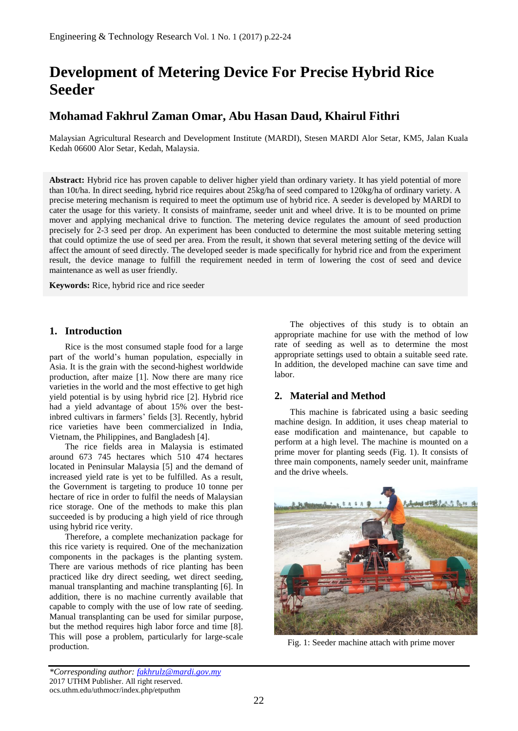# **Development of Metering Device For Precise Hybrid Rice Seeder**

# **Mohamad Fakhrul Zaman Omar, Abu Hasan Daud, Khairul Fithri**

Malaysian Agricultural Research and Development Institute (MARDI), Stesen MARDI Alor Setar, KM5, Jalan Kuala Kedah 06600 Alor Setar, Kedah, Malaysia.

**Abstract:** Hybrid rice has proven capable to deliver higher yield than ordinary variety. It has yield potential of more than 10t/ha. In direct seeding, hybrid rice requires about 25kg/ha of seed compared to 120kg/ha of ordinary variety. A precise metering mechanism is required to meet the optimum use of hybrid rice. A seeder is developed by MARDI to cater the usage for this variety. It consists of mainframe, seeder unit and wheel drive. It is to be mounted on prime mover and applying mechanical drive to function. The metering device regulates the amount of seed production precisely for 2-3 seed per drop. An experiment has been conducted to determine the most suitable metering setting that could optimize the use of seed per area. From the result, it shown that several metering setting of the device will affect the amount of seed directly. The developed seeder is made specifically for hybrid rice and from the experiment result, the device manage to fulfill the requirement needed in term of lowering the cost of seed and device maintenance as well as user friendly.

**Keywords:** Rice, hybrid rice and rice seeder

#### **1. Introduction**

Rice is the most consumed staple food for a large part of the world's human population, especially in Asia. It is the grain with the second-highest worldwide production, after maize [1]. Now there are many rice varieties in the world and the most effective to get high yield potential is by using hybrid rice [2]. Hybrid rice had a yield advantage of about 15% over the bestinbred cultivars in farmers' fields [3]. Recently, hybrid rice varieties have been commercialized in India, Vietnam, the Philippines, and Bangladesh [4].

The rice fields area in Malaysia is estimated around 673 745 hectares which 510 474 hectares located in Peninsular Malaysia [5] and the demand of increased yield rate is yet to be fulfilled. As a result, the Government is targeting to produce 10 tonne per hectare of rice in order to fulfil the needs of Malaysian rice storage. One of the methods to make this plan succeeded is by producing a high yield of rice through using hybrid rice verity.

Therefore, a complete mechanization package for this rice variety is required. One of the mechanization components in the packages is the planting system. There are various methods of rice planting has been practiced like dry direct seeding, wet direct seeding, manual transplanting and machine transplanting [6]. In addition, there is no machine currently available that capable to comply with the use of low rate of seeding. Manual transplanting can be used for similar purpose, but the method requires high labor force and time [8]. This will pose a problem, particularly for large-scale production.

The objectives of this study is to obtain an appropriate machine for use with the method of low rate of seeding as well as to determine the most appropriate settings used to obtain a suitable seed rate. In addition, the developed machine can save time and labor.

# **2. Material and Method**

This machine is fabricated using a basic seeding machine design. In addition, it uses cheap material to ease modification and maintenance, but capable to perform at a high level. The machine is mounted on a prime mover for planting seeds (Fig. 1). It consists of three main components, namely seeder unit, mainframe and the drive wheels.



Fig. 1: Seeder machine attach with prime mover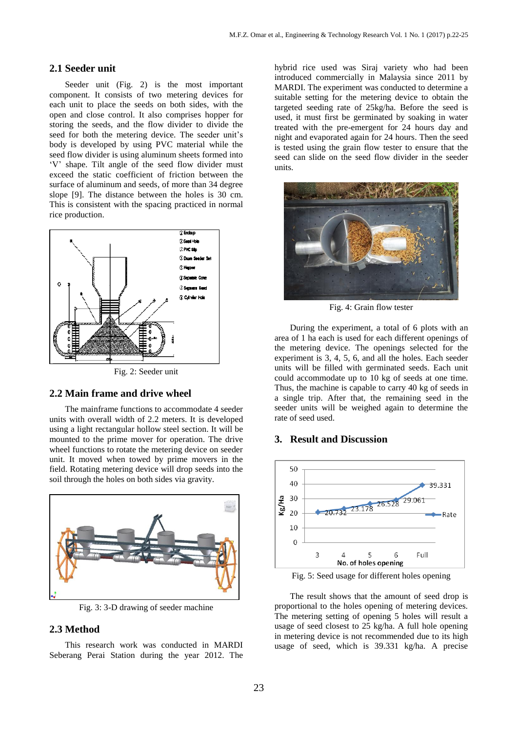#### **2.1 Seeder unit**

Seeder unit (Fig. 2) is the most important component. It consists of two metering devices for each unit to place the seeds on both sides, with the open and close control. It also comprises hopper for storing the seeds, and the flow divider to divide the seed for both the metering device. The seeder unit's body is developed by using PVC material while the seed flow divider is using aluminum sheets formed into 'V' shape. Tilt angle of the seed flow divider must exceed the static coefficient of friction between the surface of aluminum and seeds, of more than 34 degree slope [9]. The distance between the holes is 30 cm. This is consistent with the spacing practiced in normal rice production.



Fig. 2: Seeder unit

#### **2.2 Main frame and drive wheel**

The mainframe functions to accommodate 4 seeder units with overall width of 2.2 meters. It is developed using a light rectangular hollow steel section. It will be mounted to the prime mover for operation. The drive wheel functions to rotate the metering device on seeder unit. It moved when towed by prime movers in the field. Rotating metering device will drop seeds into the soil through the holes on both sides via gravity.



Fig. 3: 3-D drawing of seeder machine

# **2.3 Method**

This research work was conducted in MARDI Seberang Perai Station during the year 2012. The

hybrid rice used was Siraj variety who had been introduced commercially in Malaysia since 2011 by MARDI. The experiment was conducted to determine a suitable setting for the metering device to obtain the targeted seeding rate of 25kg/ha. Before the seed is used, it must first be germinated by soaking in water treated with the pre-emergent for 24 hours day and night and evaporated again for 24 hours. Then the seed is tested using the grain flow tester to ensure that the seed can slide on the seed flow divider in the seeder units.



Fig. 4: Grain flow tester

During the experiment, a total of 6 plots with an area of 1 ha each is used for each different openings of the metering device. The openings selected for the experiment is 3, 4, 5, 6, and all the holes. Each seeder units will be filled with germinated seeds. Each unit could accommodate up to 10 kg of seeds at one time. Thus, the machine is capable to carry 40 kg of seeds in a single trip. After that, the remaining seed in the seeder units will be weighed again to determine the rate of seed used.

#### **3. Result and Discussion**



Fig. 5: Seed usage for different holes opening

The result shows that the amount of seed drop is proportional to the holes opening of metering devices. The metering setting of opening 5 holes will result a usage of seed closest to 25 kg/ha. A full hole opening in metering device is not recommended due to its high usage of seed, which is 39.331 kg/ha. A precise